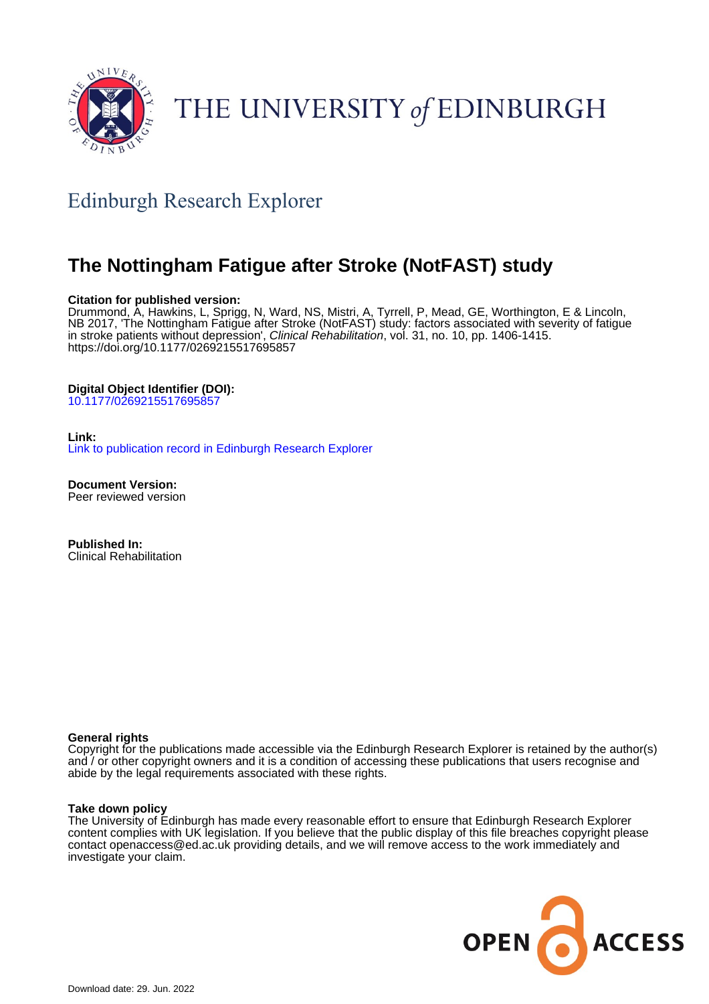

# THE UNIVERSITY of EDINBURGH

# Edinburgh Research Explorer

# **The Nottingham Fatigue after Stroke (NotFAST) study**

#### **Citation for published version:**

Drummond, A, Hawkins, L, Sprigg, N, Ward, NS, Mistri, A, Tyrrell, P, Mead, GE, Worthington, E & Lincoln, NB 2017, 'The Nottingham Fatigue after Stroke (NotFAST) study: factors associated with severity of fatigue in stroke patients without depression', Clinical Rehabilitation, vol. 31, no. 10, pp. 1406-1415. <https://doi.org/10.1177/0269215517695857>

#### **Digital Object Identifier (DOI):**

[10.1177/0269215517695857](https://doi.org/10.1177/0269215517695857)

#### **Link:**

[Link to publication record in Edinburgh Research Explorer](https://www.research.ed.ac.uk/en/publications/b4e8dae7-37ad-4617-ab1c-d60f0ba97948)

**Document Version:** Peer reviewed version

**Published In:** Clinical Rehabilitation

#### **General rights**

Copyright for the publications made accessible via the Edinburgh Research Explorer is retained by the author(s) and / or other copyright owners and it is a condition of accessing these publications that users recognise and abide by the legal requirements associated with these rights.

#### **Take down policy**

The University of Edinburgh has made every reasonable effort to ensure that Edinburgh Research Explorer content complies with UK legislation. If you believe that the public display of this file breaches copyright please contact openaccess@ed.ac.uk providing details, and we will remove access to the work immediately and investigate your claim.

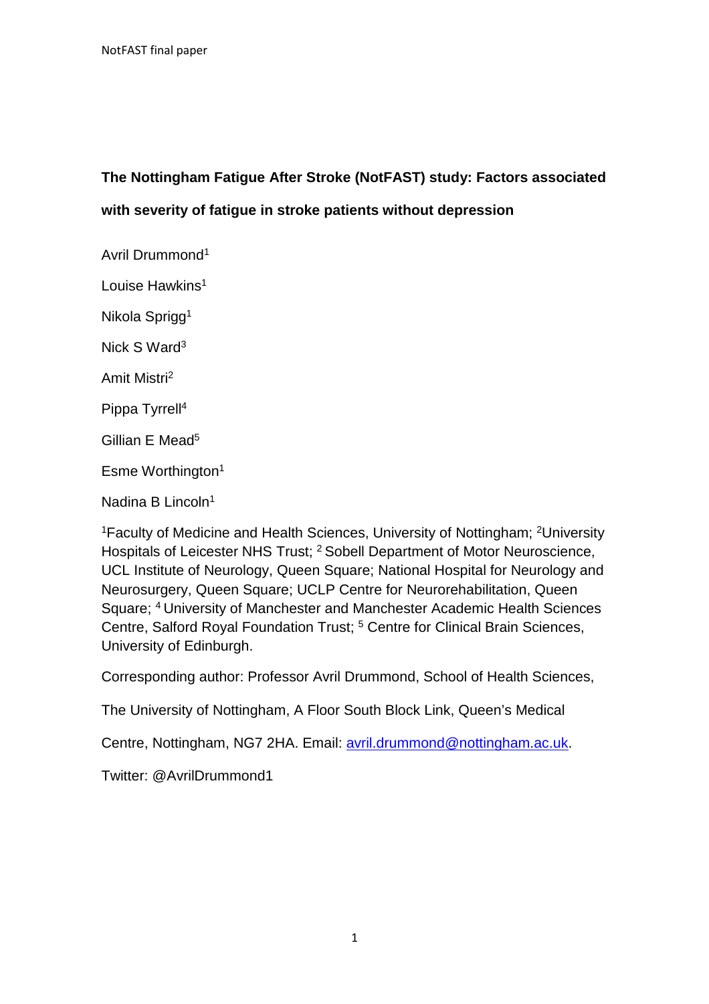# **The Nottingham Fatigue After Stroke (NotFAST) study: Factors associated with severity of fatigue in stroke patients without depression**

Avril Drummond<sup>1</sup> Louise Hawkins<sup>1</sup> Nikola Sprigg<sup>1</sup> Nick S Ward<sup>3</sup> Amit Mistri<sup>2</sup> Pippa Tyrrell<sup>4</sup> Gillian E Mead<sup>5</sup> Esme Worthington<sup>1</sup>

Nadina B Lincoln $1$ 

<sup>1</sup>Faculty of Medicine and Health Sciences, University of Nottingham; <sup>2</sup>University Hospitals of Leicester NHS Trust; <sup>2</sup> Sobell Department of Motor Neuroscience, UCL Institute of Neurology, Queen Square; National Hospital for Neurology and Neurosurgery, Queen Square; UCLP Centre for Neurorehabilitation, Queen Square; <sup>4</sup> University of Manchester and Manchester Academic Health Sciences Centre, Salford Royal Foundation Trust; <sup>5</sup> Centre for Clinical Brain Sciences, University of Edinburgh.

Corresponding author: Professor Avril Drummond, School of Health Sciences,

The University of Nottingham, A Floor South Block Link, Queen's Medical

Centre, Nottingham, NG7 2HA. Email: avril.drummond@nottingham.ac.uk.

Twitter: @AvrilDrummond1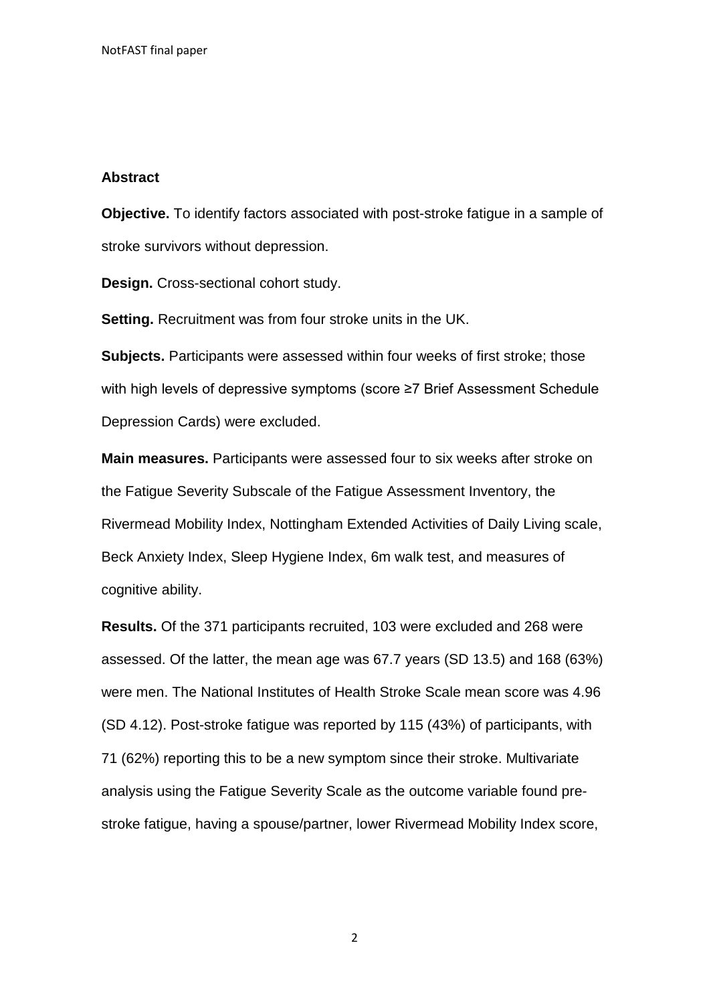#### **Abstract**

**Objective.** To identify factors associated with post-stroke fatigue in a sample of stroke survivors without depression.

**Design.** Cross-sectional cohort study.

**Setting.** Recruitment was from four stroke units in the UK.

**Subjects.** Participants were assessed within four weeks of first stroke; those with high levels of depressive symptoms (score ≥7 Brief Assessment Schedule Depression Cards) were excluded.

**Main measures.** Participants were assessed four to six weeks after stroke on the Fatigue Severity Subscale of the Fatigue Assessment Inventory, the Rivermead Mobility Index, Nottingham Extended Activities of Daily Living scale, Beck Anxiety Index, Sleep Hygiene Index, 6m walk test, and measures of cognitive ability.

**Results.** Of the 371 participants recruited, 103 were excluded and 268 were assessed. Of the latter, the mean age was 67.7 years (SD 13.5) and 168 (63%) were men. The National Institutes of Health Stroke Scale mean score was 4.96 (SD 4.12). Post-stroke fatigue was reported by 115 (43%) of participants, with 71 (62%) reporting this to be a new symptom since their stroke. Multivariate analysis using the Fatigue Severity Scale as the outcome variable found prestroke fatigue, having a spouse/partner, lower Rivermead Mobility Index score,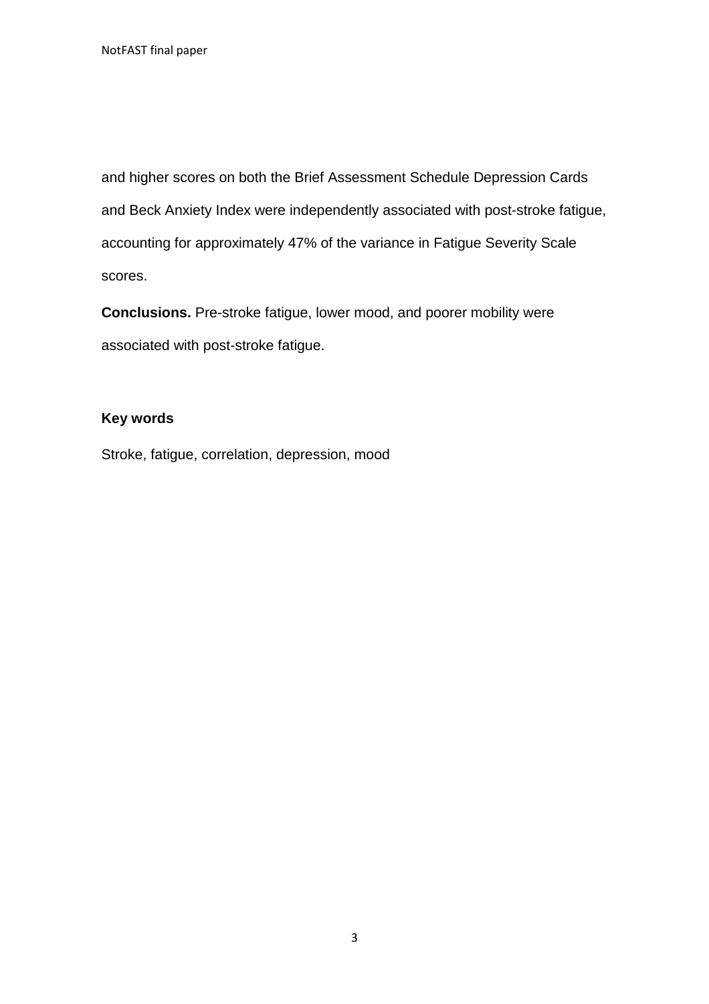and higher scores on both the Brief Assessment Schedule Depression Cards and Beck Anxiety Index were independently associated with post-stroke fatigue, accounting for approximately 47% of the variance in Fatigue Severity Scale scores.

**Conclusions.** Pre-stroke fatigue, lower mood, and poorer mobility were associated with post-stroke fatigue.

# **Key words**

Stroke, fatigue, correlation, depression, mood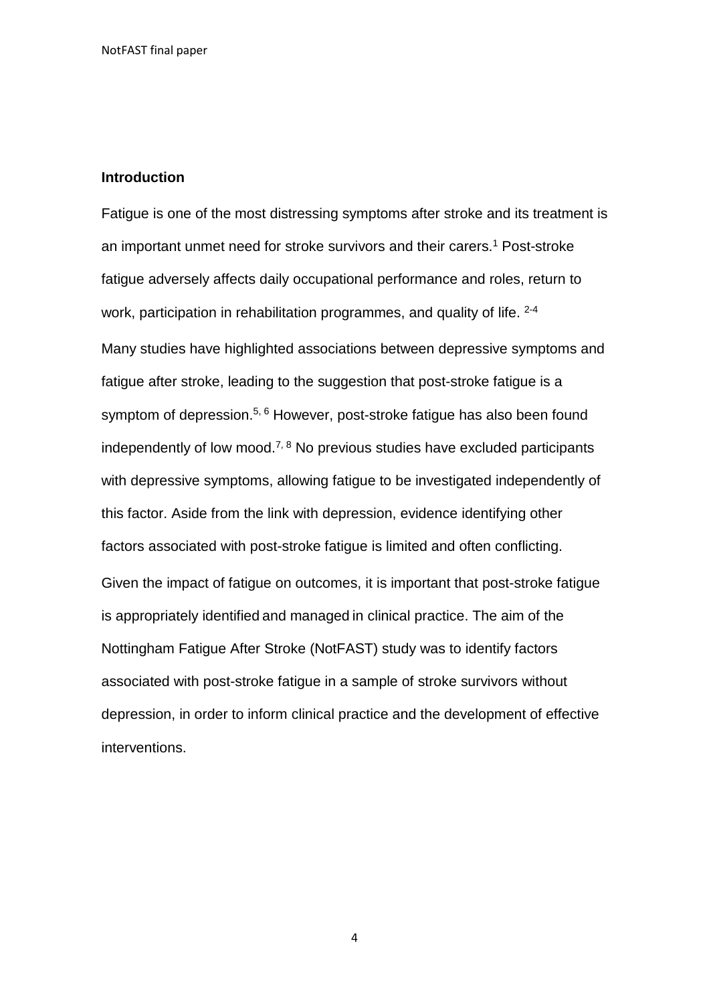#### **Introduction**

Fatigue is one of the most distressing symptoms after stroke and its treatment is an important unmet need for stroke survivors and their carers.<sup>1</sup> Post-stroke fatigue adversely affects daily occupational performance and roles, return to work, participation in rehabilitation programmes, and quality of life. <sup>2-4</sup> Many studies have highlighted associations between depressive symptoms and fatigue after stroke, leading to the suggestion that post-stroke fatigue is a symptom of depression.<sup>5, 6</sup> However, post-stroke fatigue has also been found independently of low mood.<sup>7, 8</sup> No previous studies have excluded participants with depressive symptoms, allowing fatigue to be investigated independently of this factor. Aside from the link with depression, evidence identifying other factors associated with post-stroke fatigue is limited and often conflicting. Given the impact of fatigue on outcomes, it is important that post-stroke fatigue is appropriately identified and managed in clinical practice. The aim of the Nottingham Fatigue After Stroke (NotFAST) study was to identify factors associated with post-stroke fatigue in a sample of stroke survivors without depression, in order to inform clinical practice and the development of effective interventions.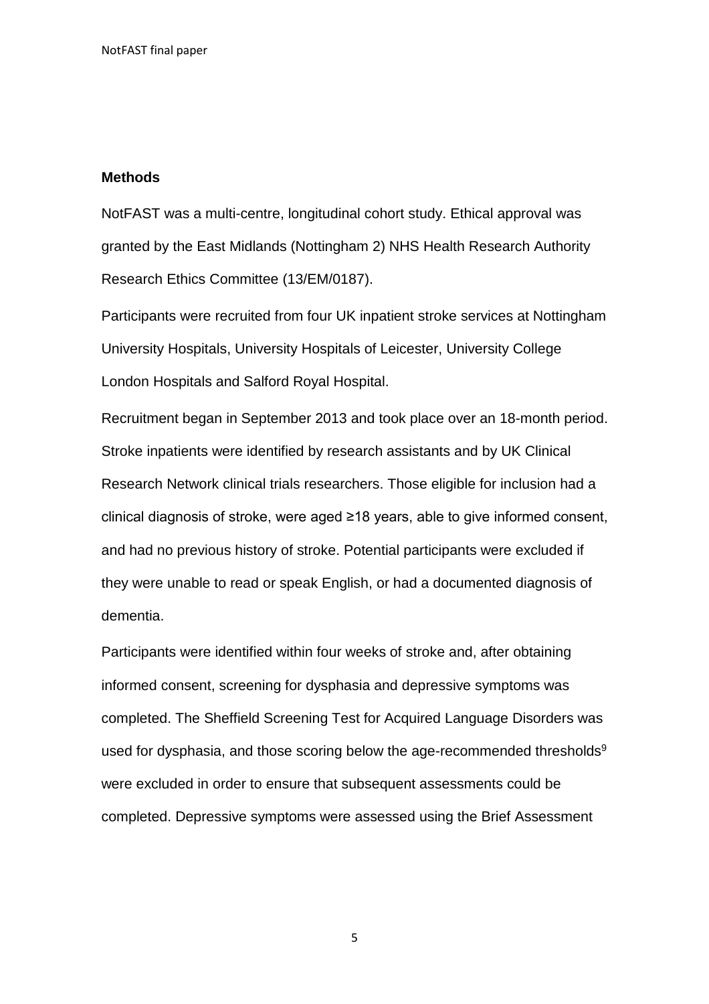#### **Methods**

NotFAST was a multi-centre, longitudinal cohort study. Ethical approval was granted by the East Midlands (Nottingham 2) NHS Health Research Authority Research Ethics Committee (13/EM/0187).

Participants were recruited from four UK inpatient stroke services at Nottingham University Hospitals, University Hospitals of Leicester, University College London Hospitals and Salford Royal Hospital.

Recruitment began in September 2013 and took place over an 18-month period. Stroke inpatients were identified by research assistants and by UK Clinical Research Network clinical trials researchers. Those eligible for inclusion had a clinical diagnosis of stroke, were aged ≥18 years, able to give informed consent, and had no previous history of stroke. Potential participants were excluded if they were unable to read or speak English, or had a documented diagnosis of dementia.

Participants were identified within four weeks of stroke and, after obtaining informed consent, screening for dysphasia and depressive symptoms was completed. The Sheffield Screening Test for Acquired Language Disorders was used for dysphasia, and those scoring below the age-recommended thresholds<sup>9</sup> were excluded in order to ensure that subsequent assessments could be completed. Depressive symptoms were assessed using the Brief Assessment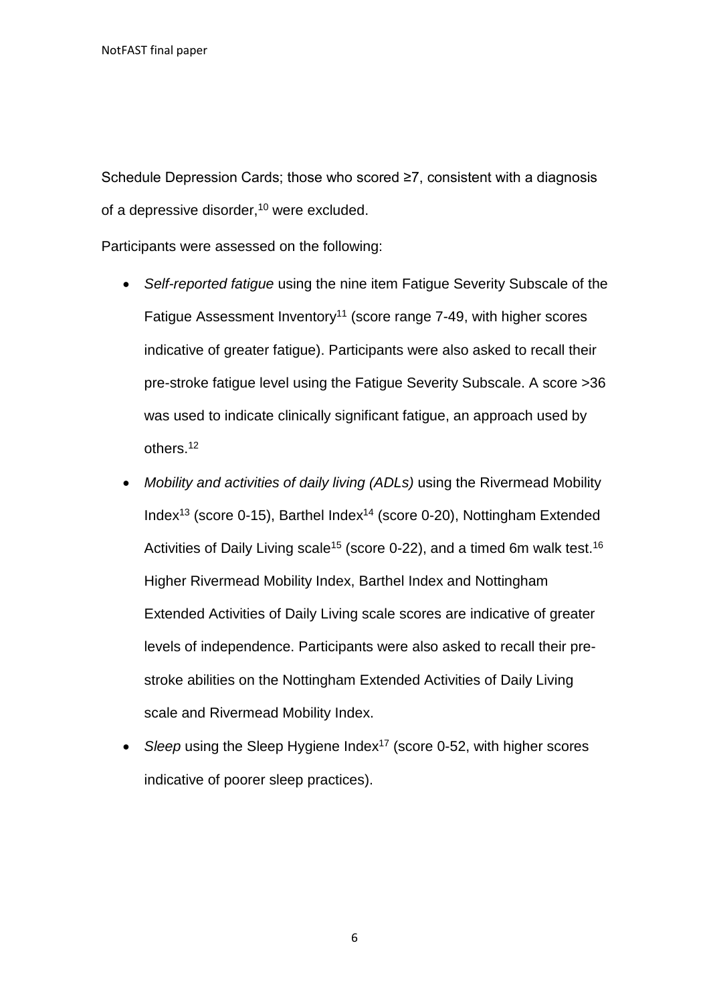Schedule Depression Cards; those who scored ≥7, consistent with a diagnosis of a depressive disorder,<sup>10</sup> were excluded.

Participants were assessed on the following:

- *Self-reported fatigue* using the nine item Fatigue Severity Subscale of the Fatigue Assessment Inventory<sup>11</sup> (score range 7-49, with higher scores indicative of greater fatigue). Participants were also asked to recall their pre-stroke fatigue level using the Fatigue Severity Subscale. A score >36 was used to indicate clinically significant fatigue, an approach used by others.<sup>12</sup>
- *Mobility and activities of daily living (ADLs)* using the Rivermead Mobility Index<sup>13</sup> (score 0-15), Barthel Index<sup>14</sup> (score 0-20), Nottingham Extended Activities of Daily Living scale<sup>15</sup> (score 0-22), and a timed 6m walk test.<sup>16</sup> Higher Rivermead Mobility Index, Barthel Index and Nottingham Extended Activities of Daily Living scale scores are indicative of greater levels of independence. Participants were also asked to recall their prestroke abilities on the Nottingham Extended Activities of Daily Living scale and Rivermead Mobility Index.
- *Sleep* using the Sleep Hygiene Index<sup>17</sup> (score 0-52, with higher scores indicative of poorer sleep practices).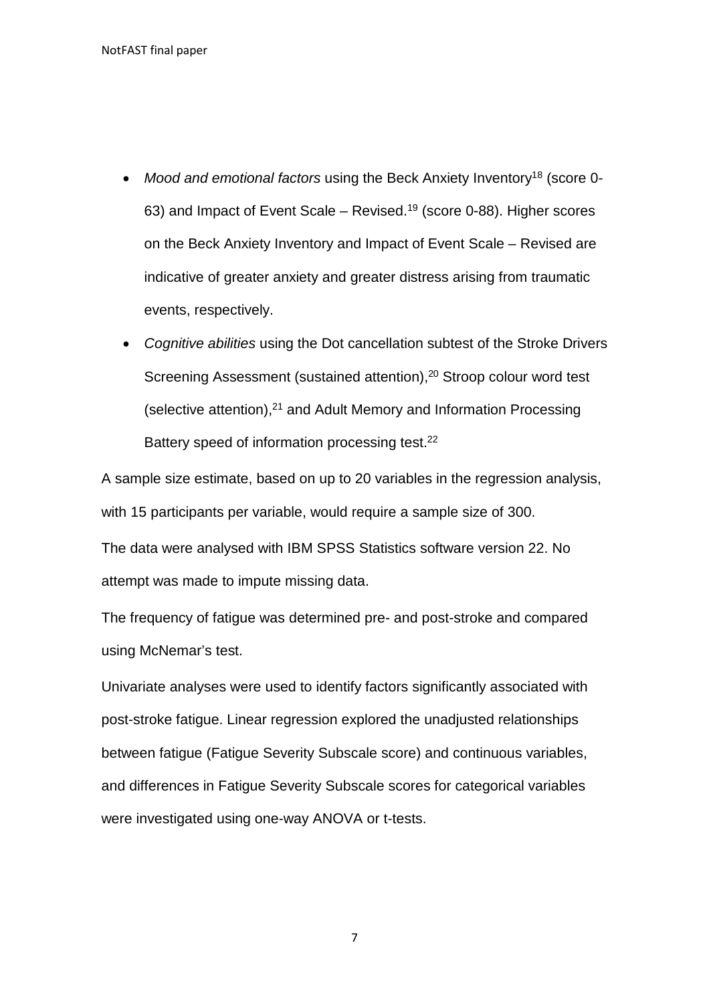- Mood and emotional factors using the Beck Anxiety Inventory<sup>18</sup> (score 0-63) and Impact of Event Scale – Revised.<sup>19</sup> (score 0-88). Higher scores on the Beck Anxiety Inventory and Impact of Event Scale – Revised are indicative of greater anxiety and greater distress arising from traumatic events, respectively.
- *Cognitive abilities* using the Dot cancellation subtest of the Stroke Drivers Screening Assessment (sustained attention),<sup>20</sup> Stroop colour word test (selective attention),<sup>21</sup> and Adult Memory and Information Processing Battery speed of information processing test.<sup>22</sup>

A sample size estimate, based on up to 20 variables in the regression analysis, with 15 participants per variable, would require a sample size of 300.

The data were analysed with IBM SPSS Statistics software version 22. No attempt was made to impute missing data.

The frequency of fatigue was determined pre- and post-stroke and compared using McNemar's test.

Univariate analyses were used to identify factors significantly associated with post-stroke fatigue. Linear regression explored the unadjusted relationships between fatigue (Fatigue Severity Subscale score) and continuous variables, and differences in Fatigue Severity Subscale scores for categorical variables were investigated using one-way ANOVA or t-tests.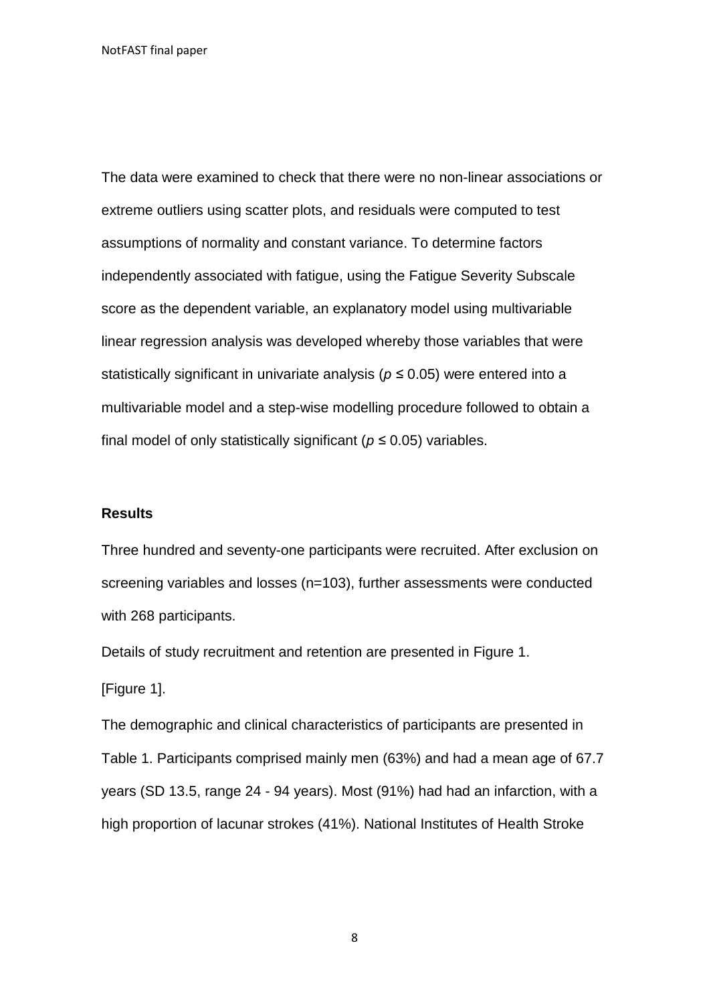The data were examined to check that there were no non-linear associations or extreme outliers using scatter plots, and residuals were computed to test assumptions of normality and constant variance. To determine factors independently associated with fatigue, using the Fatigue Severity Subscale score as the dependent variable, an explanatory model using multivariable linear regression analysis was developed whereby those variables that were statistically significant in univariate analysis (*p ≤* 0.05) were entered into a multivariable model and a step-wise modelling procedure followed to obtain a final model of only statistically significant (*p ≤* 0.05) variables.

#### **Results**

Three hundred and seventy-one participants were recruited. After exclusion on screening variables and losses (n=103), further assessments were conducted with 268 participants.

Details of study recruitment and retention are presented in Figure 1.

[Figure 1].

The demographic and clinical characteristics of participants are presented in Table 1. Participants comprised mainly men (63%) and had a mean age of 67.7 years (SD 13.5, range 24 - 94 years). Most (91%) had had an infarction, with a high proportion of lacunar strokes (41%). National Institutes of Health Stroke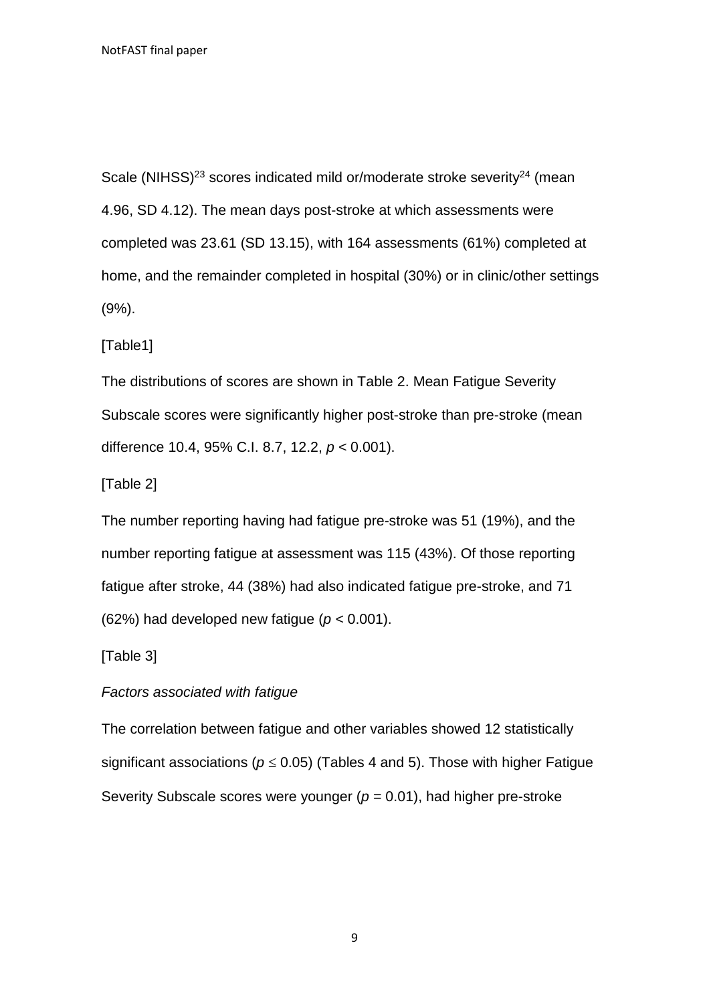Scale (NIHSS)<sup>23</sup> scores indicated mild or/moderate stroke severity<sup>24</sup> (mean) 4.96, SD 4.12). The mean days post-stroke at which assessments were completed was 23.61 (SD 13.15), with 164 assessments (61%) completed at home, and the remainder completed in hospital (30%) or in clinic/other settings (9%).

[Table1]

The distributions of scores are shown in Table 2. Mean Fatigue Severity Subscale scores were significantly higher post-stroke than pre-stroke (mean difference 10.4, 95% C.I. 8.7, 12.2, *p <* 0.001).

[Table 2]

The number reporting having had fatigue pre-stroke was 51 (19%), and the number reporting fatigue at assessment was 115 (43%). Of those reporting fatigue after stroke, 44 (38%) had also indicated fatigue pre-stroke, and 71 (62%) had developed new fatigue (*p <* 0.001).

[Table 3]

*Factors associated with fatigue*

The correlation between fatigue and other variables showed 12 statistically significant associations ( $p \le 0.05$ ) (Tables 4 and 5). Those with higher Fatigue Severity Subscale scores were younger (*p =* 0.01), had higher pre-stroke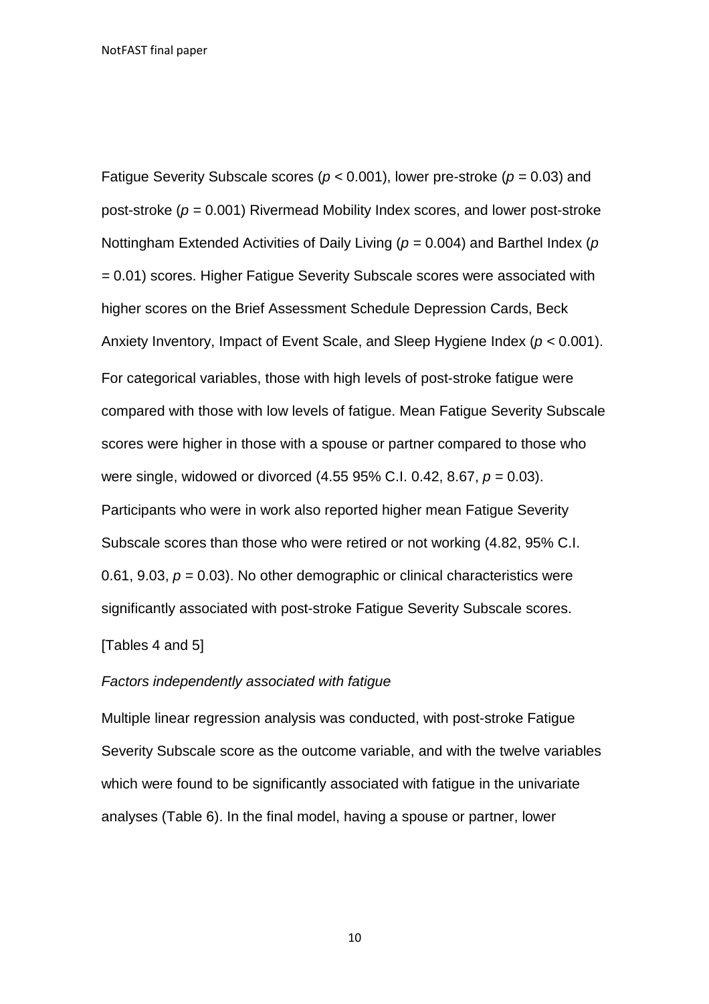Fatigue Severity Subscale scores (*p <* 0.001), lower pre-stroke (*p =* 0.03) and post-stroke (*p =* 0.001) Rivermead Mobility Index scores, and lower post-stroke Nottingham Extended Activities of Daily Living (*p =* 0.004) and Barthel Index (*p =* 0.01) scores. Higher Fatigue Severity Subscale scores were associated with higher scores on the Brief Assessment Schedule Depression Cards, Beck Anxiety Inventory, Impact of Event Scale, and Sleep Hygiene Index (*p <* 0.001). For categorical variables, those with high levels of post-stroke fatigue were compared with those with low levels of fatigue. Mean Fatigue Severity Subscale scores were higher in those with a spouse or partner compared to those who were single, widowed or divorced (4.55 95% C.I. 0.42, 8.67, *p =* 0.03). Participants who were in work also reported higher mean Fatigue Severity Subscale scores than those who were retired or not working (4.82, 95% C.I. 0.61, 9.03, *p =* 0.03). No other demographic or clinical characteristics were significantly associated with post-stroke Fatigue Severity Subscale scores.

#### [Tables 4 and 5]

#### *Factors independently associated with fatigue*

Multiple linear regression analysis was conducted, with post-stroke Fatigue Severity Subscale score as the outcome variable, and with the twelve variables which were found to be significantly associated with fatigue in the univariate analyses (Table 6). In the final model, having a spouse or partner, lower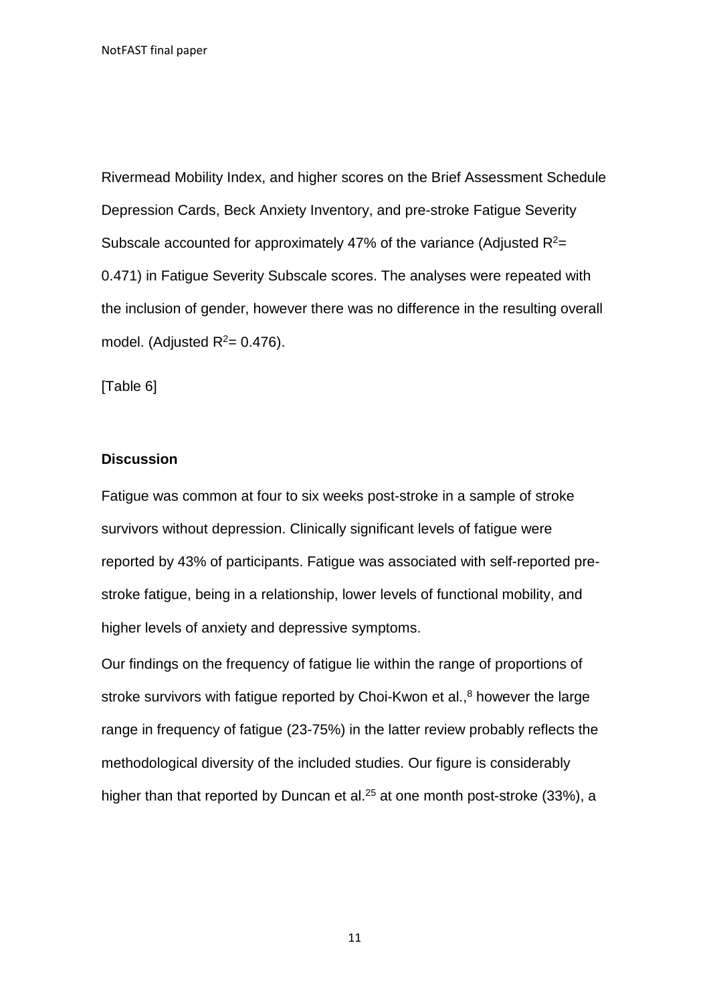Rivermead Mobility Index, and higher scores on the Brief Assessment Schedule Depression Cards, Beck Anxiety Inventory, and pre-stroke Fatigue Severity Subscale accounted for approximately 47% of the variance (Adjusted  $R^2$ = 0.471) in Fatigue Severity Subscale scores. The analyses were repeated with the inclusion of gender, however there was no difference in the resulting overall model. (Adjusted  $R^2$ = 0.476).

[Table 6]

### **Discussion**

Fatigue was common at four to six weeks post-stroke in a sample of stroke survivors without depression. Clinically significant levels of fatigue were reported by 43% of participants. Fatigue was associated with self-reported prestroke fatigue, being in a relationship, lower levels of functional mobility, and higher levels of anxiety and depressive symptoms.

Our findings on the frequency of fatigue lie within the range of proportions of stroke survivors with fatigue reported by Choi-Kwon et al., $8$  however the large range in frequency of fatigue (23-75%) in the latter review probably reflects the methodological diversity of the included studies. Our figure is considerably higher than that reported by Duncan et al.<sup>25</sup> at one month post-stroke (33%), a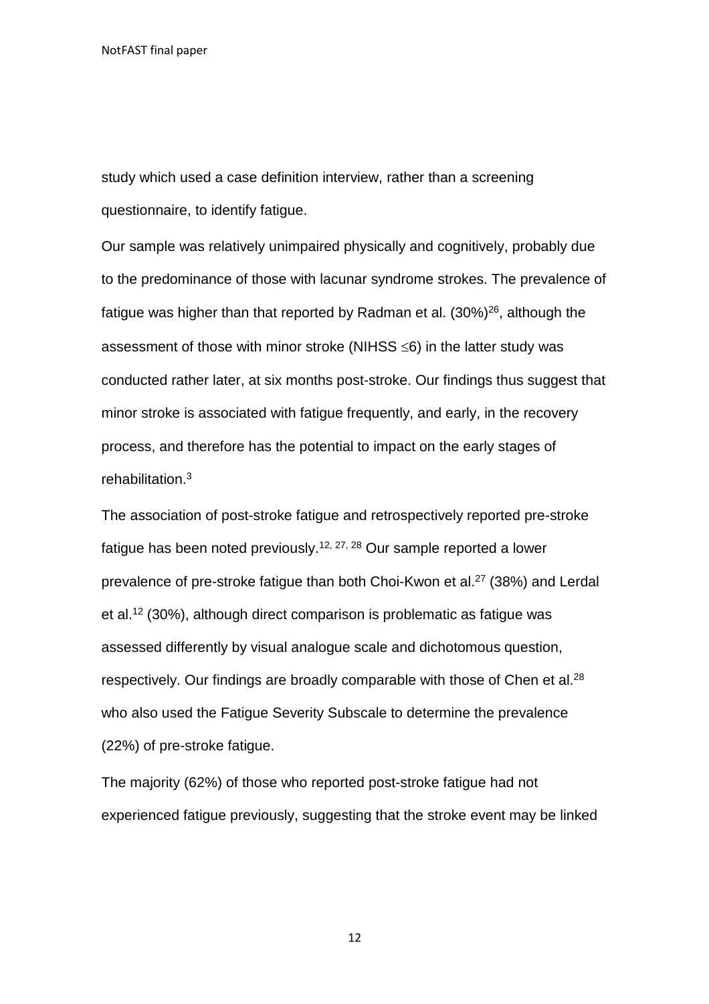study which used a case definition interview, rather than a screening questionnaire, to identify fatigue.

Our sample was relatively unimpaired physically and cognitively, probably due to the predominance of those with lacunar syndrome strokes. The prevalence of fatigue was higher than that reported by Radman et al.  $(30\%)^{26}$ , although the assessment of those with minor stroke (NIHSS  $\leq 6$ ) in the latter study was conducted rather later, at six months post-stroke. Our findings thus suggest that minor stroke is associated with fatigue frequently, and early, in the recovery process, and therefore has the potential to impact on the early stages of rehabilitation.<sup>3</sup>

The association of post-stroke fatigue and retrospectively reported pre-stroke fatigue has been noted previously.12, 27, 28 Our sample reported a lower prevalence of pre-stroke fatigue than both Choi-Kwon et al.<sup>27</sup> (38%) and Lerdal et al.<sup>12</sup> (30%), although direct comparison is problematic as fatigue was assessed differently by visual analogue scale and dichotomous question, respectively. Our findings are broadly comparable with those of Chen et al.<sup>28</sup> who also used the Fatigue Severity Subscale to determine the prevalence (22%) of pre-stroke fatigue.

The majority (62%) of those who reported post-stroke fatigue had not experienced fatigue previously, suggesting that the stroke event may be linked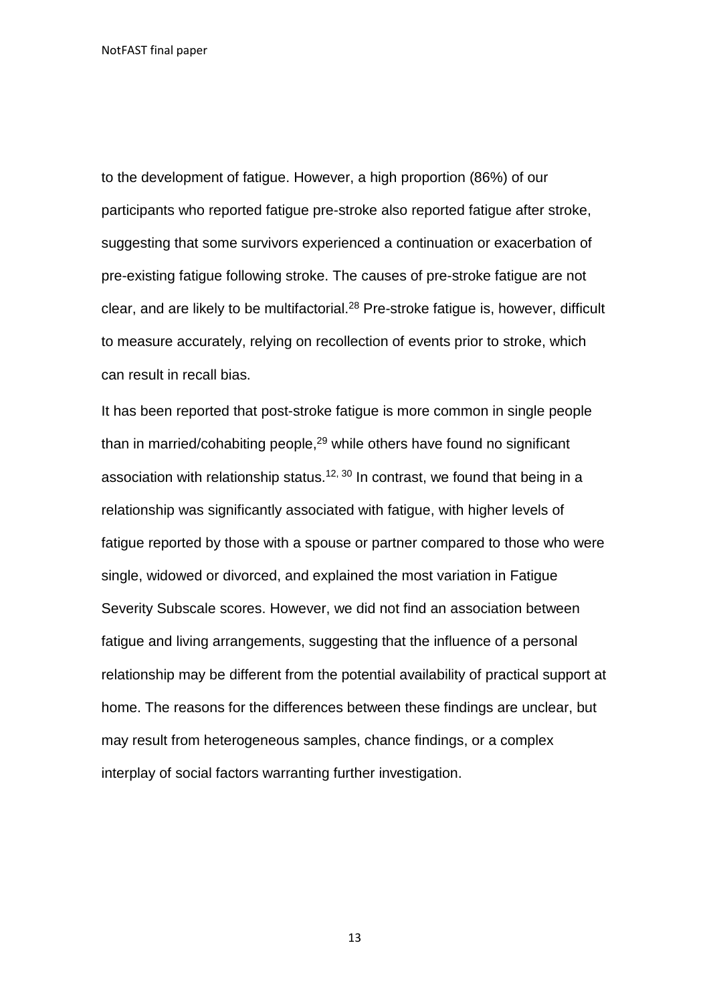to the development of fatigue. However, a high proportion (86%) of our participants who reported fatigue pre-stroke also reported fatigue after stroke, suggesting that some survivors experienced a continuation or exacerbation of pre-existing fatigue following stroke. The causes of pre-stroke fatigue are not clear, and are likely to be multifactorial.<sup>28</sup> Pre-stroke fatigue is, however, difficult to measure accurately, relying on recollection of events prior to stroke, which can result in recall bias.

It has been reported that post-stroke fatigue is more common in single people than in married/cohabiting people,<sup>29</sup> while others have found no significant association with relationship status.<sup>12, 30</sup> In contrast, we found that being in a relationship was significantly associated with fatigue, with higher levels of fatigue reported by those with a spouse or partner compared to those who were single, widowed or divorced, and explained the most variation in Fatigue Severity Subscale scores. However, we did not find an association between fatigue and living arrangements, suggesting that the influence of a personal relationship may be different from the potential availability of practical support at home. The reasons for the differences between these findings are unclear, but may result from heterogeneous samples, chance findings, or a complex interplay of social factors warranting further investigation.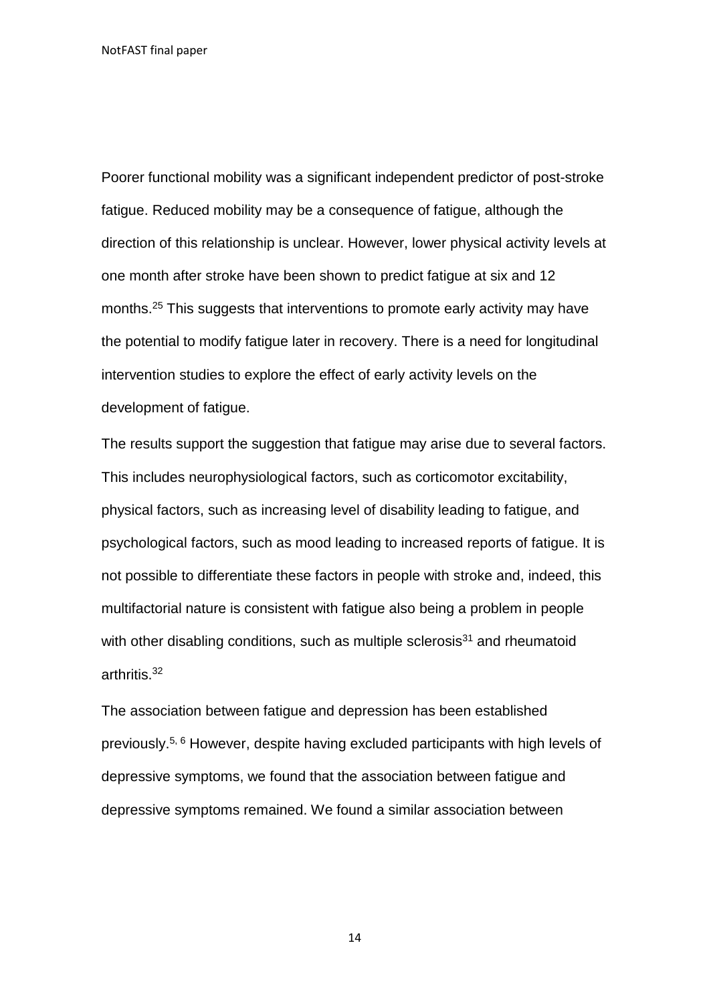Poorer functional mobility was a significant independent predictor of post-stroke fatigue. Reduced mobility may be a consequence of fatigue, although the direction of this relationship is unclear. However, lower physical activity levels at one month after stroke have been shown to predict fatigue at six and 12 months.<sup>25</sup> This suggests that interventions to promote early activity may have the potential to modify fatigue later in recovery. There is a need for longitudinal intervention studies to explore the effect of early activity levels on the development of fatigue.

The results support the suggestion that fatigue may arise due to several factors. This includes neurophysiological factors, such as corticomotor excitability, physical factors, such as increasing level of disability leading to fatigue, and psychological factors, such as mood leading to increased reports of fatigue. It is not possible to differentiate these factors in people with stroke and, indeed, this multifactorial nature is consistent with fatigue also being a problem in people with other disabling conditions, such as multiple sclerosis<sup>31</sup> and rheumatoid arthritis.<sup>32</sup>

The association between fatigue and depression has been established previously.5, 6 However, despite having excluded participants with high levels of depressive symptoms, we found that the association between fatigue and depressive symptoms remained. We found a similar association between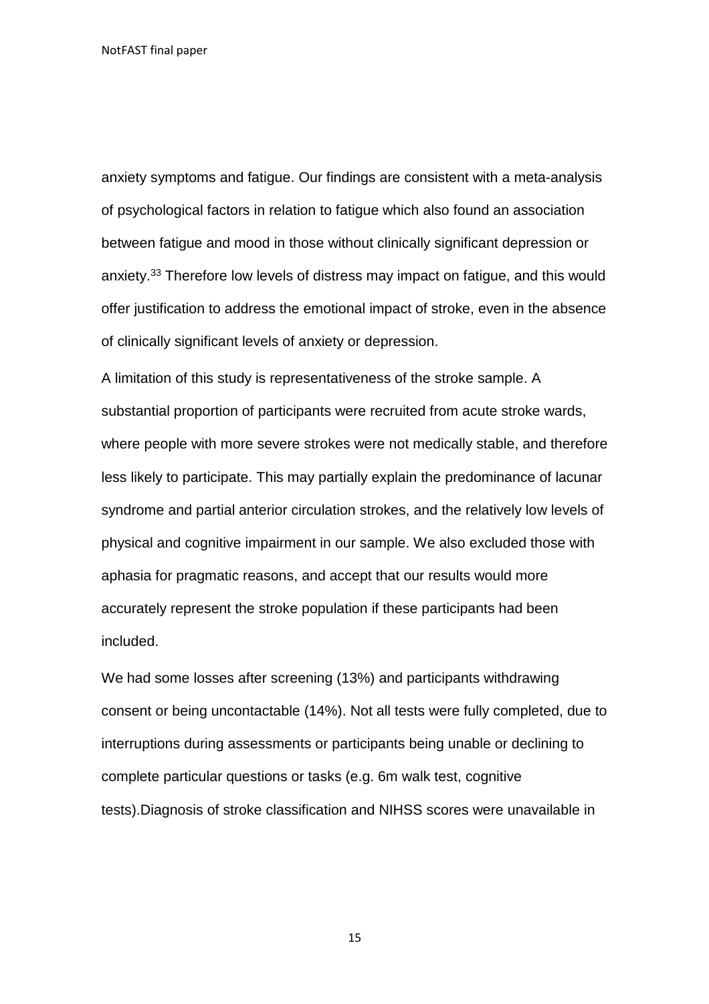anxiety symptoms and fatigue. Our findings are consistent with a meta-analysis of psychological factors in relation to fatigue which also found an association between fatigue and mood in those without clinically significant depression or anxiety.<sup>33</sup> Therefore low levels of distress may impact on fatigue, and this would offer justification to address the emotional impact of stroke, even in the absence of clinically significant levels of anxiety or depression.

A limitation of this study is representativeness of the stroke sample. A substantial proportion of participants were recruited from acute stroke wards, where people with more severe strokes were not medically stable, and therefore less likely to participate. This may partially explain the predominance of lacunar syndrome and partial anterior circulation strokes, and the relatively low levels of physical and cognitive impairment in our sample. We also excluded those with aphasia for pragmatic reasons, and accept that our results would more accurately represent the stroke population if these participants had been included.

We had some losses after screening (13%) and participants withdrawing consent or being uncontactable (14%). Not all tests were fully completed, due to interruptions during assessments or participants being unable or declining to complete particular questions or tasks (e.g. 6m walk test, cognitive tests).Diagnosis of stroke classification and NIHSS scores were unavailable in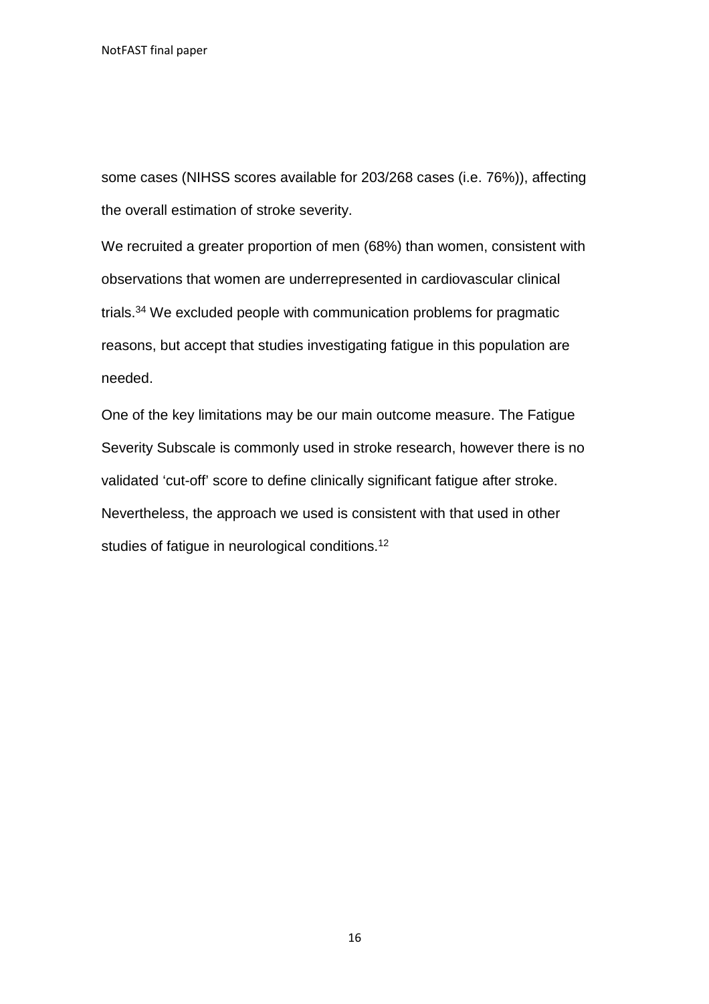some cases (NIHSS scores available for 203/268 cases (i.e. 76%)), affecting the overall estimation of stroke severity.

We recruited a greater proportion of men (68%) than women, consistent with observations that women are underrepresented in cardiovascular clinical trials.<sup>34</sup> We excluded people with communication problems for pragmatic reasons, but accept that studies investigating fatigue in this population are needed.

One of the key limitations may be our main outcome measure. The Fatigue Severity Subscale is commonly used in stroke research, however there is no validated 'cut-off' score to define clinically significant fatigue after stroke. Nevertheless, the approach we used is consistent with that used in other studies of fatigue in neurological conditions.<sup>12</sup>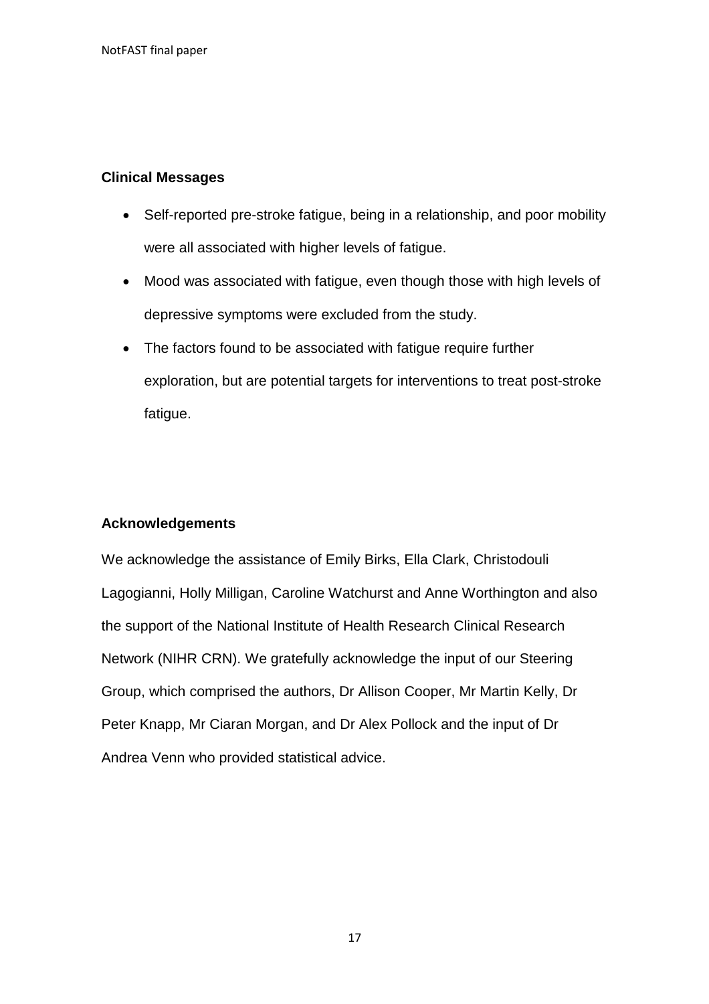## **Clinical Messages**

- Self-reported pre-stroke fatigue, being in a relationship, and poor mobility were all associated with higher levels of fatigue.
- Mood was associated with fatigue, even though those with high levels of depressive symptoms were excluded from the study.
- The factors found to be associated with fatigue require further exploration, but are potential targets for interventions to treat post-stroke fatigue.

# **Acknowledgements**

We acknowledge the assistance of Emily Birks, Ella Clark, Christodouli Lagogianni, Holly Milligan, Caroline Watchurst and Anne Worthington and also the support of the National Institute of Health Research Clinical Research Network (NIHR CRN). We gratefully acknowledge the input of our Steering Group, which comprised the authors, Dr Allison Cooper, Mr Martin Kelly, Dr Peter Knapp, Mr Ciaran Morgan, and Dr Alex Pollock and the input of Dr Andrea Venn who provided statistical advice.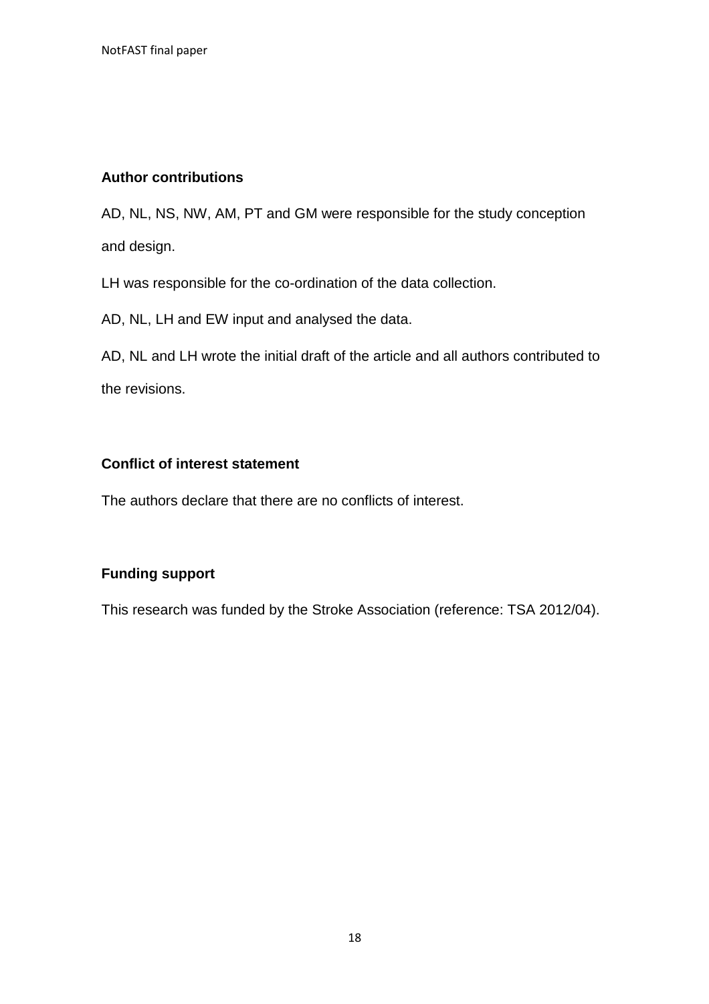# **Author contributions**

AD, NL, NS, NW, AM, PT and GM were responsible for the study conception and design.

LH was responsible for the co-ordination of the data collection.

AD, NL, LH and EW input and analysed the data.

AD, NL and LH wrote the initial draft of the article and all authors contributed to the revisions.

### **Conflict of interest statement**

The authors declare that there are no conflicts of interest.

# **Funding support**

This research was funded by the Stroke Association (reference: TSA 2012/04).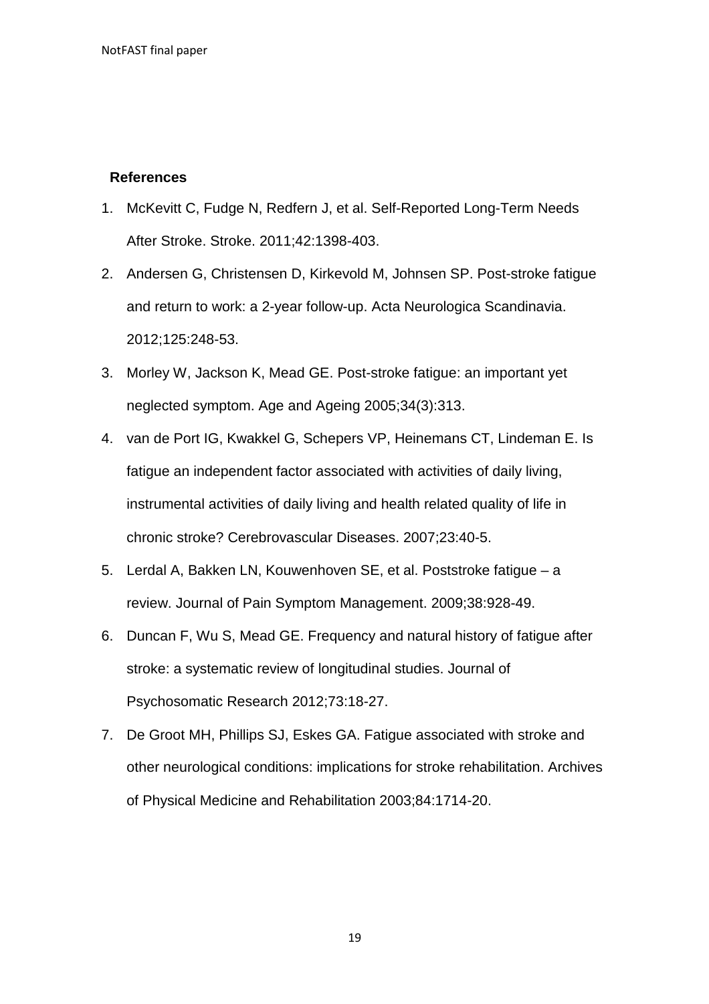### **References**

- 1. McKevitt C, Fudge N, Redfern J, et al. Self-Reported Long-Term Needs After Stroke. Stroke. 2011;42:1398-403.
- 2. Andersen G, Christensen D, Kirkevold M, Johnsen SP. Post-stroke fatigue and return to work: a 2-year follow-up. Acta Neurologica Scandinavia. 2012;125:248-53.
- 3. Morley W, Jackson K, Mead GE. Post-stroke fatigue: an important yet neglected symptom. Age and Ageing 2005;34(3):313.
- 4. van de Port IG, Kwakkel G, Schepers VP, Heinemans CT, Lindeman E. Is fatigue an independent factor associated with activities of daily living, instrumental activities of daily living and health related quality of life in chronic stroke? Cerebrovascular Diseases. 2007;23:40-5.
- 5. Lerdal A, Bakken LN, Kouwenhoven SE, et al. Poststroke fatigue a review. Journal of Pain Symptom Management. 2009;38:928-49.
- 6. Duncan F, Wu S, Mead GE. Frequency and natural history of fatigue after stroke: a systematic review of longitudinal studies. Journal of Psychosomatic Research 2012;73:18-27.
- 7. De Groot MH, Phillips SJ, Eskes GA. Fatigue associated with stroke and other neurological conditions: implications for stroke rehabilitation. Archives of Physical Medicine and Rehabilitation 2003;84:1714-20.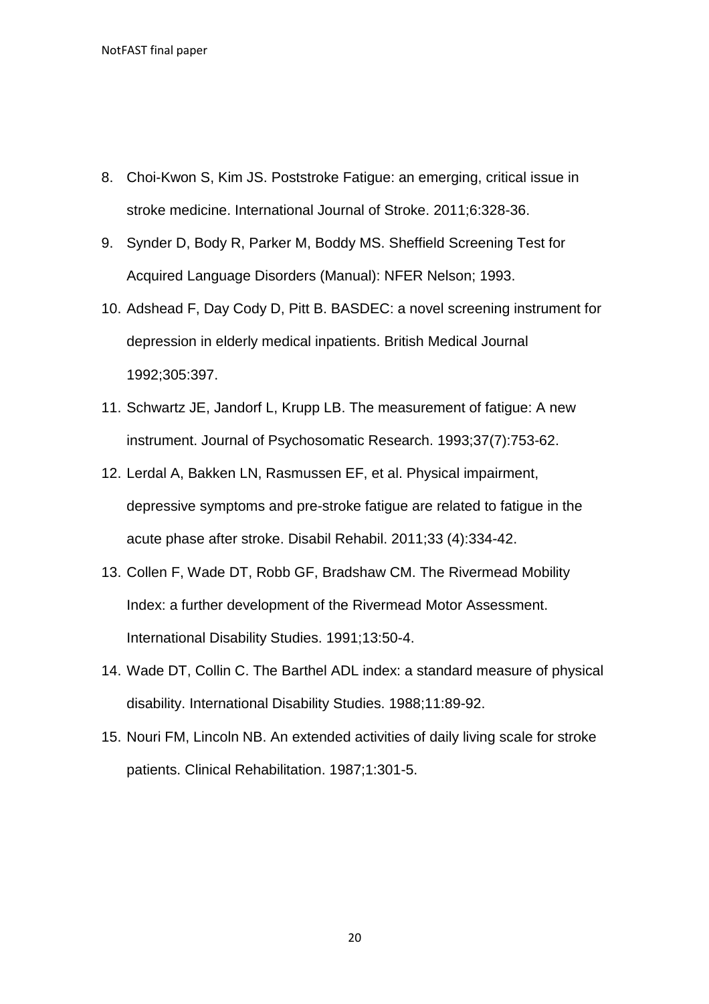- 8. Choi-Kwon S, Kim JS. Poststroke Fatigue: an emerging, critical issue in stroke medicine. International Journal of Stroke. 2011;6:328-36.
- 9. Synder D, Body R, Parker M, Boddy MS. Sheffield Screening Test for Acquired Language Disorders (Manual): NFER Nelson; 1993.
- 10. Adshead F, Day Cody D, Pitt B. BASDEC: a novel screening instrument for depression in elderly medical inpatients. British Medical Journal 1992;305:397.
- 11. Schwartz JE, Jandorf L, Krupp LB. The measurement of fatigue: A new instrument. Journal of Psychosomatic Research. 1993;37(7):753-62.
- 12. Lerdal A, Bakken LN, Rasmussen EF, et al. Physical impairment, depressive symptoms and pre-stroke fatigue are related to fatigue in the acute phase after stroke. Disabil Rehabil. 2011;33 (4):334-42.
- 13. Collen F, Wade DT, Robb GF, Bradshaw CM. The Rivermead Mobility Index: a further development of the Rivermead Motor Assessment. International Disability Studies. 1991;13:50-4.
- 14. Wade DT, Collin C. The Barthel ADL index: a standard measure of physical disability. International Disability Studies. 1988;11:89-92.
- 15. Nouri FM, Lincoln NB. An extended activities of daily living scale for stroke patients. Clinical Rehabilitation. 1987;1:301-5.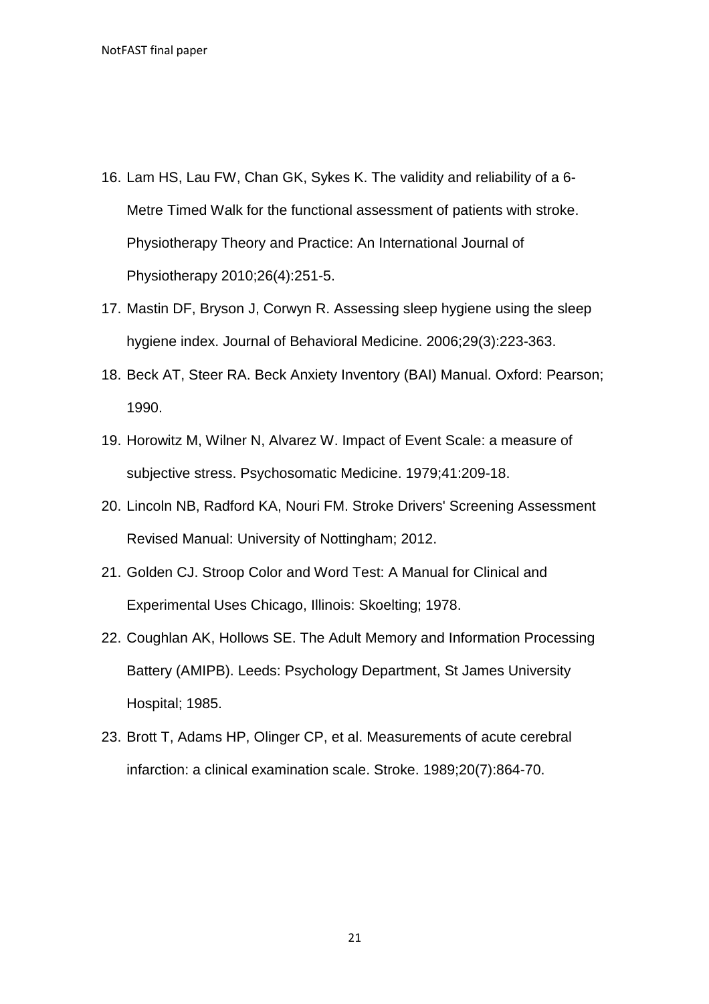- 16. Lam HS, Lau FW, Chan GK, Sykes K. The validity and reliability of a 6- Metre Timed Walk for the functional assessment of patients with stroke. Physiotherapy Theory and Practice: An International Journal of Physiotherapy 2010;26(4):251-5.
- 17. Mastin DF, Bryson J, Corwyn R. Assessing sleep hygiene using the sleep hygiene index. Journal of Behavioral Medicine. 2006;29(3):223-363.
- 18. Beck AT, Steer RA. Beck Anxiety Inventory (BAI) Manual. Oxford: Pearson; 1990.
- 19. Horowitz M, Wilner N, Alvarez W. Impact of Event Scale: a measure of subjective stress. Psychosomatic Medicine. 1979;41:209-18.
- 20. Lincoln NB, Radford KA, Nouri FM. Stroke Drivers' Screening Assessment Revised Manual: University of Nottingham; 2012.
- 21. Golden CJ. Stroop Color and Word Test: A Manual for Clinical and Experimental Uses Chicago, Illinois: Skoelting; 1978.
- 22. Coughlan AK, Hollows SE. The Adult Memory and Information Processing Battery (AMIPB). Leeds: Psychology Department, St James University Hospital; 1985.
- 23. Brott T, Adams HP, Olinger CP, et al. Measurements of acute cerebral infarction: a clinical examination scale. Stroke. 1989;20(7):864-70.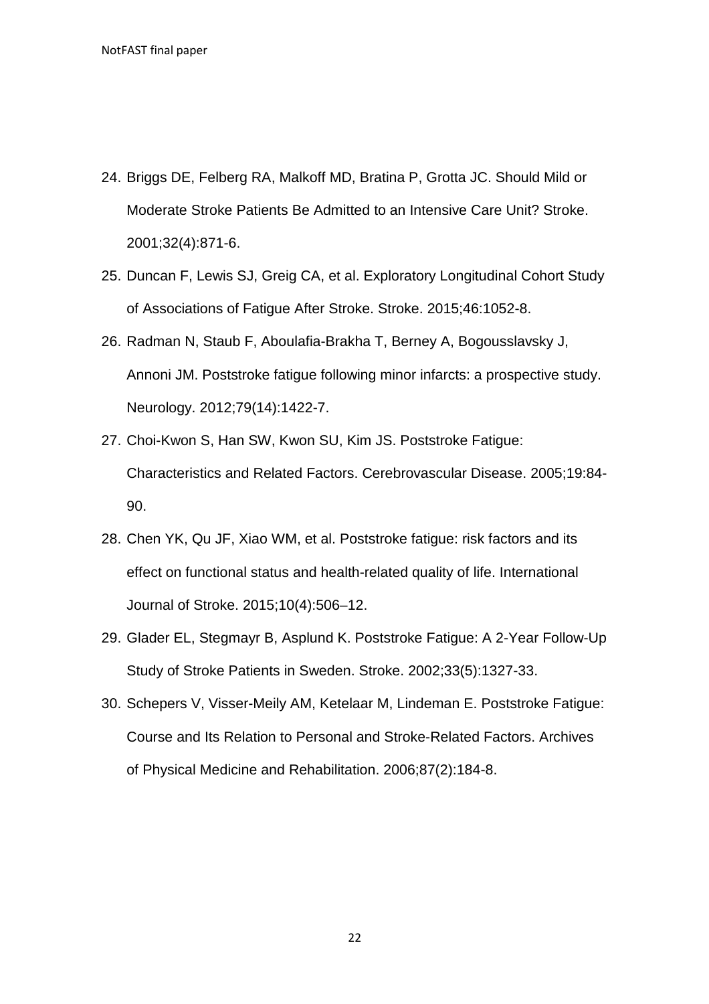- 24. Briggs DE, Felberg RA, Malkoff MD, Bratina P, Grotta JC. Should Mild or Moderate Stroke Patients Be Admitted to an Intensive Care Unit? Stroke. 2001;32(4):871-6.
- 25. Duncan F, Lewis SJ, Greig CA, et al. Exploratory Longitudinal Cohort Study of Associations of Fatigue After Stroke. Stroke. 2015;46:1052-8.
- 26. Radman N, Staub F, Aboulafia-Brakha T, Berney A, Bogousslavsky J, Annoni JM. Poststroke fatigue following minor infarcts: a prospective study. Neurology. 2012;79(14):1422-7.
- 27. Choi-Kwon S, Han SW, Kwon SU, Kim JS. Poststroke Fatigue: Characteristics and Related Factors. Cerebrovascular Disease. 2005;19:84- 90.
- 28. Chen YK, Qu JF, Xiao WM, et al. Poststroke fatigue: risk factors and its effect on functional status and health-related quality of life. International Journal of Stroke. 2015;10(4):506–12.
- 29. Glader EL, Stegmayr B, Asplund K. Poststroke Fatigue: A 2-Year Follow-Up Study of Stroke Patients in Sweden. Stroke. 2002;33(5):1327-33.
- 30. Schepers V, Visser-Meily AM, Ketelaar M, Lindeman E. Poststroke Fatigue: Course and Its Relation to Personal and Stroke-Related Factors. Archives of Physical Medicine and Rehabilitation. 2006;87(2):184-8.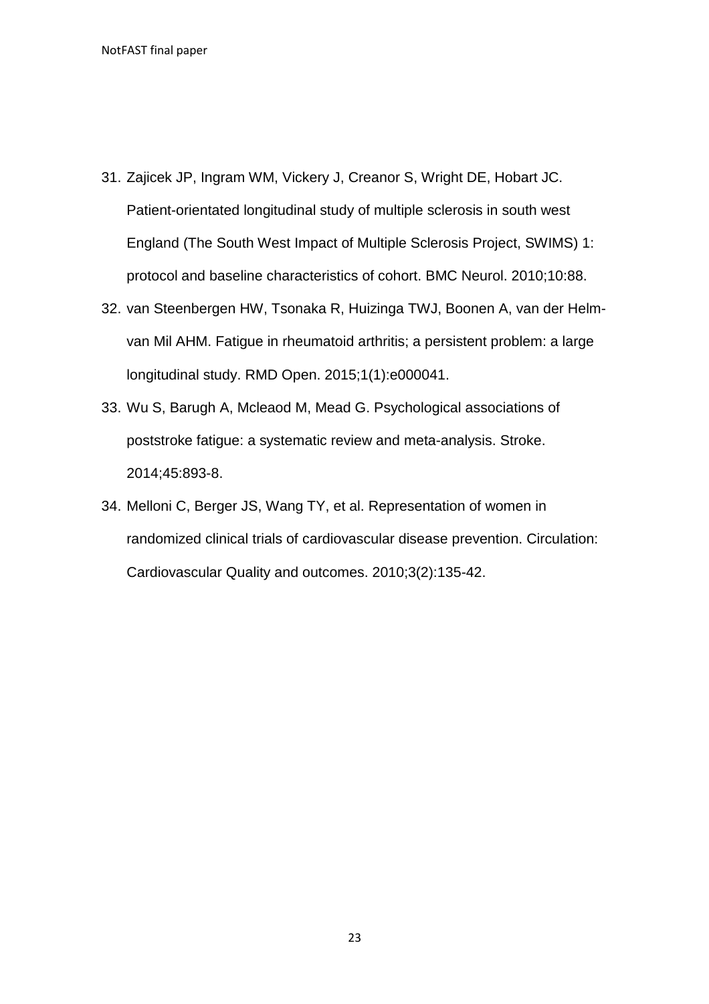- 31. Zajicek JP, Ingram WM, Vickery J, Creanor S, Wright DE, Hobart JC. Patient-orientated longitudinal study of multiple sclerosis in south west England (The South West Impact of Multiple Sclerosis Project, SWIMS) 1: protocol and baseline characteristics of cohort. BMC Neurol. 2010;10:88.
- 32. van Steenbergen HW, Tsonaka R, Huizinga TWJ, Boonen A, van der Helmvan Mil AHM. Fatigue in rheumatoid arthritis; a persistent problem: a large longitudinal study. RMD Open. 2015;1(1):e000041.
- 33. Wu S, Barugh A, Mcleaod M, Mead G. Psychological associations of poststroke fatigue: a systematic review and meta-analysis. Stroke. 2014;45:893-8.
- 34. Melloni C, Berger JS, Wang TY, et al. Representation of women in randomized clinical trials of cardiovascular disease prevention. Circulation: Cardiovascular Quality and outcomes. 2010;3(2):135-42.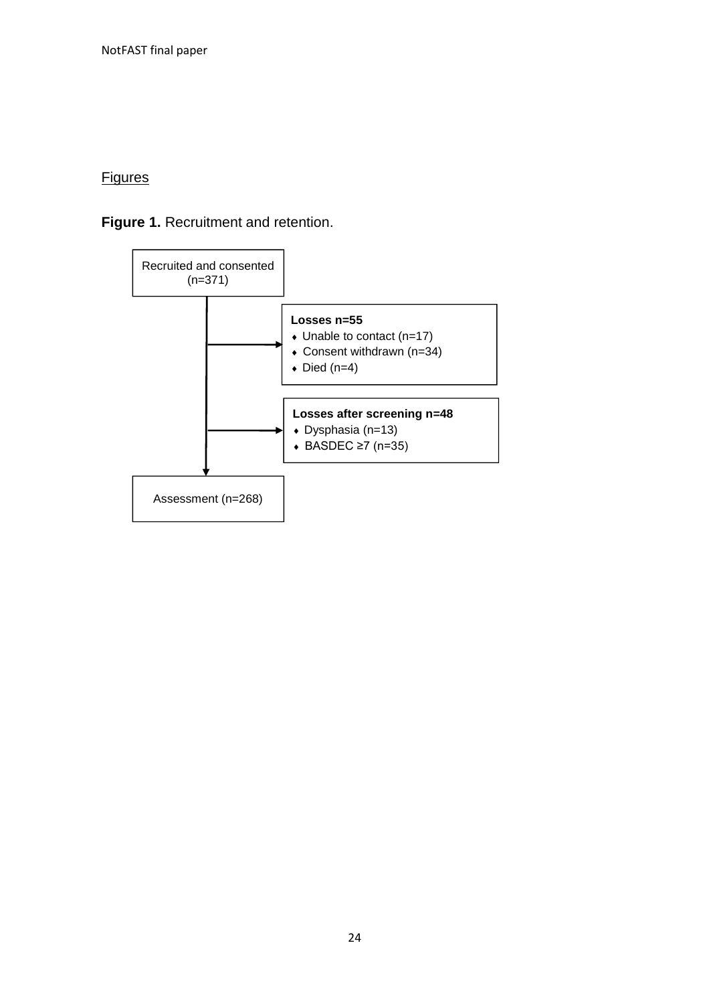# **Figures**

# **Figure 1.** Recruitment and retention.

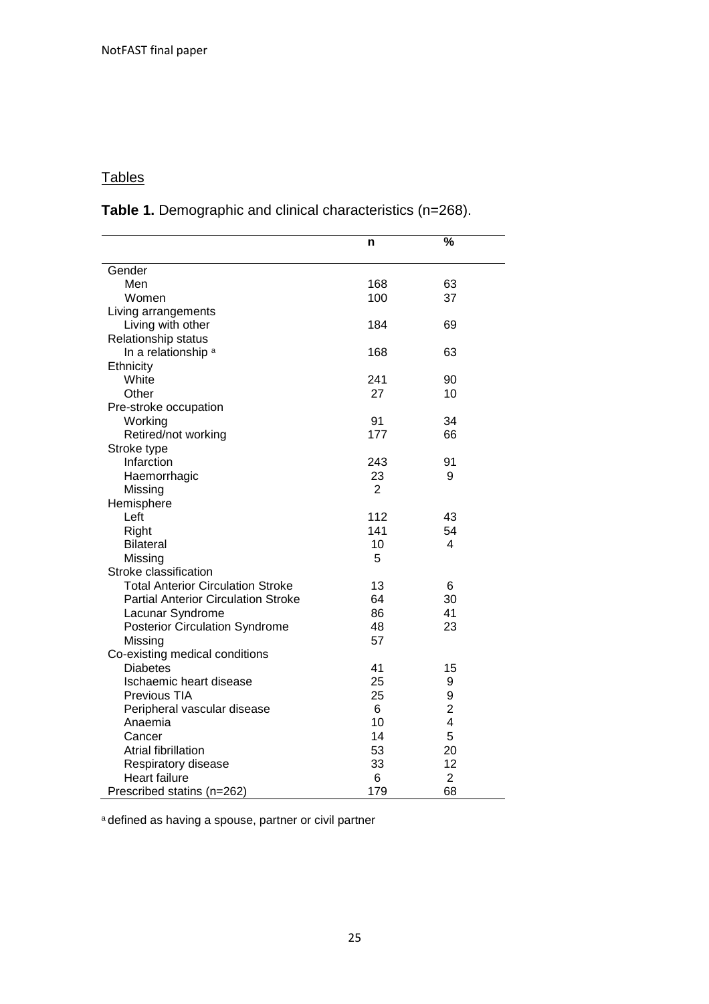# **Tables**

**Table 1.** Demographic and clinical characteristics (n=268).

|                                            | n   | %              |  |
|--------------------------------------------|-----|----------------|--|
|                                            |     |                |  |
| Gender                                     |     |                |  |
| Men                                        | 168 | 63             |  |
| Women                                      | 100 | 37             |  |
| Living arrangements                        |     |                |  |
| Living with other                          | 184 | 69             |  |
| Relationship status                        |     |                |  |
| In a relationship <sup>a</sup>             | 168 | 63             |  |
| Ethnicity                                  |     |                |  |
| White                                      | 241 | 90             |  |
| Other                                      | 27  | 10             |  |
| Pre-stroke occupation                      |     |                |  |
| Working                                    | 91  | 34             |  |
| Retired/not working                        | 177 | 66             |  |
| Stroke type                                |     |                |  |
| Infarction                                 | 243 | 91             |  |
| Haemorrhagic                               | 23  | 9              |  |
| Missing                                    | 2   |                |  |
| Hemisphere                                 |     |                |  |
| Left                                       | 112 | 43             |  |
| Right                                      | 141 | 54             |  |
| <b>Bilateral</b>                           | 10  | 4              |  |
| Missing                                    | 5   |                |  |
| Stroke classification                      |     |                |  |
| <b>Total Anterior Circulation Stroke</b>   | 13  | 6              |  |
| <b>Partial Anterior Circulation Stroke</b> | 64  | 30             |  |
| Lacunar Syndrome                           | 86  | 41             |  |
| <b>Posterior Circulation Syndrome</b>      | 48  | 23             |  |
| Missing                                    | 57  |                |  |
| Co-existing medical conditions             |     |                |  |
| <b>Diabetes</b>                            | 41  | 15             |  |
| Ischaemic heart disease                    | 25  | 9              |  |
| Previous TIA                               | 25  | 9              |  |
| Peripheral vascular disease                | 6   | $\overline{2}$ |  |
| Anaemia                                    | 10  | 4              |  |
| Cancer                                     | 14  | 5              |  |
| <b>Atrial fibrillation</b>                 | 53  | 20             |  |
| Respiratory disease                        | 33  | 12             |  |
| Heart failure                              | 6   | $\overline{2}$ |  |
| Prescribed statins (n=262)                 | 179 | 68             |  |

a defined as having a spouse, partner or civil partner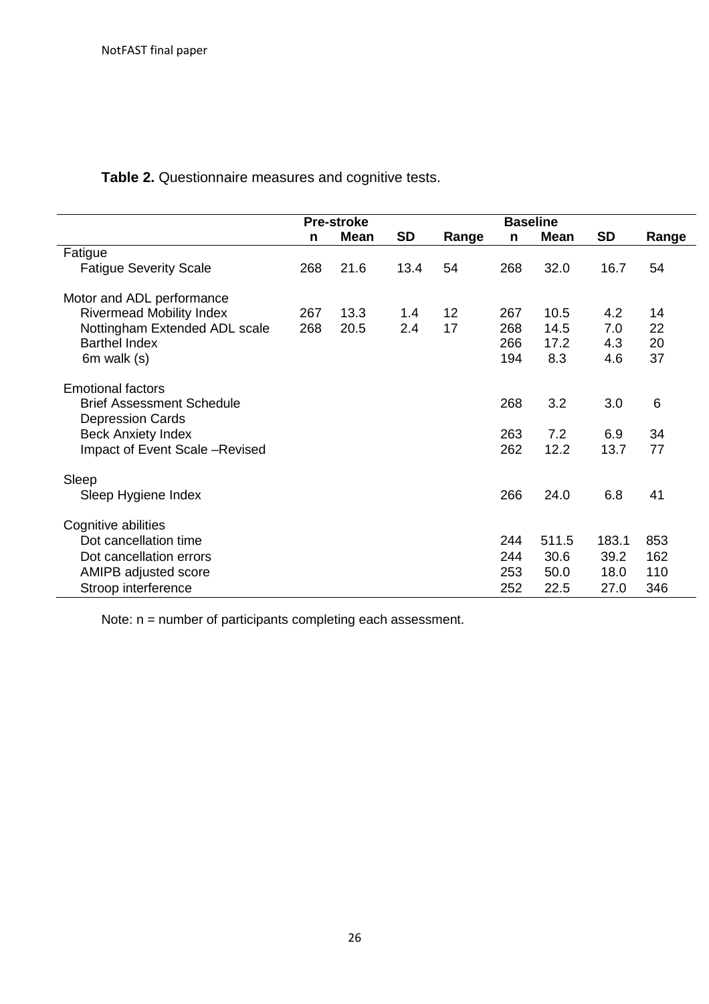**Table 2.** Questionnaire measures and cognitive tests.

|                                                              | <b>Pre-stroke</b> |             |           | <b>Baseline</b> |     |             |           |       |
|--------------------------------------------------------------|-------------------|-------------|-----------|-----------------|-----|-------------|-----------|-------|
|                                                              | n                 | <b>Mean</b> | <b>SD</b> | Range           | n   | <b>Mean</b> | <b>SD</b> | Range |
| Fatigue                                                      |                   |             |           |                 |     |             |           |       |
| <b>Fatigue Severity Scale</b>                                | 268               | 21.6        | 13.4      | 54              | 268 | 32.0        | 16.7      | 54    |
| Motor and ADL performance                                    |                   |             |           |                 |     |             |           |       |
| <b>Rivermead Mobility Index</b>                              | 267               | 13.3        | 1.4       | 12              | 267 | 10.5        | 4.2       | 14    |
| Nottingham Extended ADL scale                                | 268               | 20.5        | 2.4       | 17              | 268 | 14.5        | 7.0       | 22    |
| <b>Barthel Index</b>                                         |                   |             |           |                 | 266 | 17.2        | 4.3       | 20    |
| 6m walk (s)                                                  |                   |             |           |                 | 194 | 8.3         | 4.6       | 37    |
| <b>Emotional factors</b><br><b>Brief Assessment Schedule</b> |                   |             |           |                 | 268 | 3.2         | 3.0       | 6     |
| <b>Depression Cards</b>                                      |                   |             |           |                 |     |             |           |       |
| <b>Beck Anxiety Index</b>                                    |                   |             |           |                 | 263 | 7.2         | 6.9       | 34    |
| Impact of Event Scale -Revised                               |                   |             |           |                 | 262 | 12.2        | 13.7      | 77    |
| Sleep                                                        |                   |             |           |                 |     |             |           |       |
| Sleep Hygiene Index                                          |                   |             |           |                 | 266 | 24.0        | 6.8       | 41    |
| Cognitive abilities                                          |                   |             |           |                 |     |             |           |       |
| Dot cancellation time                                        |                   |             |           |                 | 244 | 511.5       | 183.1     | 853   |
| Dot cancellation errors                                      |                   |             |           |                 | 244 | 30.6        | 39.2      | 162   |
| AMIPB adjusted score                                         |                   |             |           |                 | 253 | 50.0        | 18.0      | 110   |
| Stroop interference                                          |                   |             |           |                 | 252 | 22.5        | 27.0      | 346   |

Note: n = number of participants completing each assessment.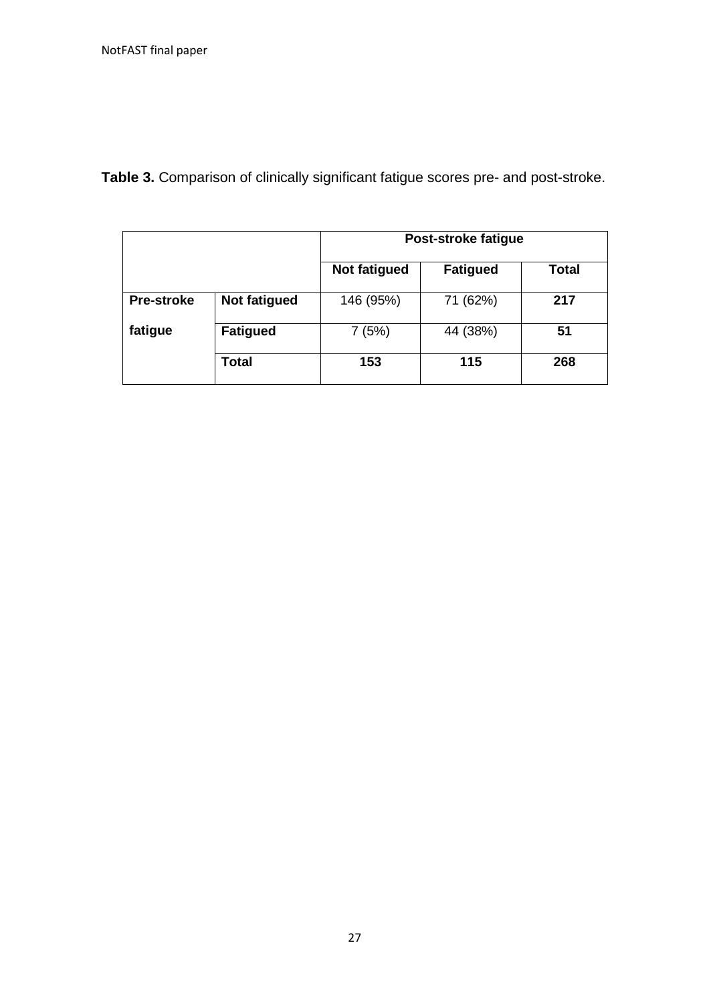**Table 3.** Comparison of clinically significant fatigue scores pre- and post-stroke.

|                   |                 | Post-stroke fatigue |                 |              |  |
|-------------------|-----------------|---------------------|-----------------|--------------|--|
|                   |                 | Not fatigued        | <b>Fatigued</b> | <b>Total</b> |  |
| <b>Pre-stroke</b> | Not fatigued    | 146 (95%)           | 71 (62%)        | 217          |  |
| fatigue           | <b>Fatigued</b> | 7(5%)               | 44 (38%)        | 51           |  |
|                   | Total           | 153                 | 115             | 268          |  |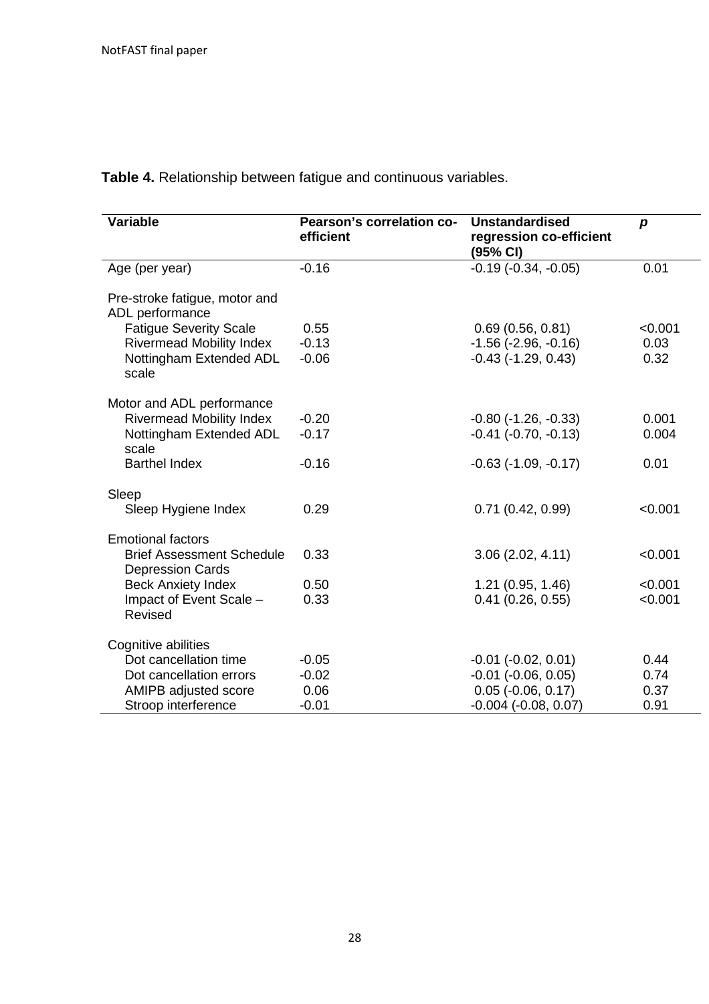| <b>Variable</b>                                             | Pearson's correlation co-<br>efficient | <b>Unstandardised</b><br>regression co-efficient<br>(95% CI) | $\boldsymbol{p}$ |
|-------------------------------------------------------------|----------------------------------------|--------------------------------------------------------------|------------------|
| Age (per year)                                              | $-0.16$                                | $-0.19(-0.34, -0.05)$                                        | 0.01             |
| Pre-stroke fatigue, motor and<br>ADL performance            |                                        |                                                              |                  |
| <b>Fatigue Severity Scale</b>                               | 0.55                                   | 0.69(0.56, 0.81)                                             | < 0.001          |
| <b>Rivermead Mobility Index</b>                             | $-0.13$                                | $-1.56$ ( $-2.96$ , $-0.16$ )                                | 0.03             |
| Nottingham Extended ADL<br>scale                            | $-0.06$                                | $-0.43$ $(-1.29, 0.43)$                                      | 0.32             |
| Motor and ADL performance                                   |                                        |                                                              |                  |
| <b>Rivermead Mobility Index</b>                             | $-0.20$                                | $-0.80$ $(-1.26, -0.33)$                                     | 0.001            |
| Nottingham Extended ADL<br>scale                            | $-0.17$                                | $-0.41$ $(-0.70, -0.13)$                                     | 0.004            |
| <b>Barthel Index</b>                                        | $-0.16$                                | $-0.63$ $(-1.09, -0.17)$                                     | 0.01             |
| Sleep                                                       |                                        |                                                              |                  |
| Sleep Hygiene Index                                         | 0.29                                   | 0.71(0.42, 0.99)                                             | < 0.001          |
| <b>Emotional factors</b>                                    |                                        |                                                              |                  |
| <b>Brief Assessment Schedule</b><br><b>Depression Cards</b> | 0.33                                   | 3.06(2.02, 4.11)                                             | < 0.001          |
| <b>Beck Anxiety Index</b>                                   | 0.50                                   | 1.21 (0.95, 1.46)                                            | < 0.001          |
| Impact of Event Scale -<br>Revised                          | 0.33                                   | $0.41$ (0.26, 0.55)                                          | < 0.001          |
| Cognitive abilities                                         |                                        |                                                              |                  |
| Dot cancellation time                                       | $-0.05$                                | $-0.01$ $(-0.02, 0.01)$                                      | 0.44             |
| Dot cancellation errors                                     | $-0.02$                                | $-0.01$ $(-0.06, 0.05)$                                      | 0.74             |
| AMIPB adjusted score                                        | 0.06                                   | $0.05$ (-0.06, 0.17)                                         | 0.37             |
| Stroop interference                                         | $-0.01$                                | $-0.004$ $(-0.08, 0.07)$                                     | 0.91             |

**Table 4.** Relationship between fatigue and continuous variables.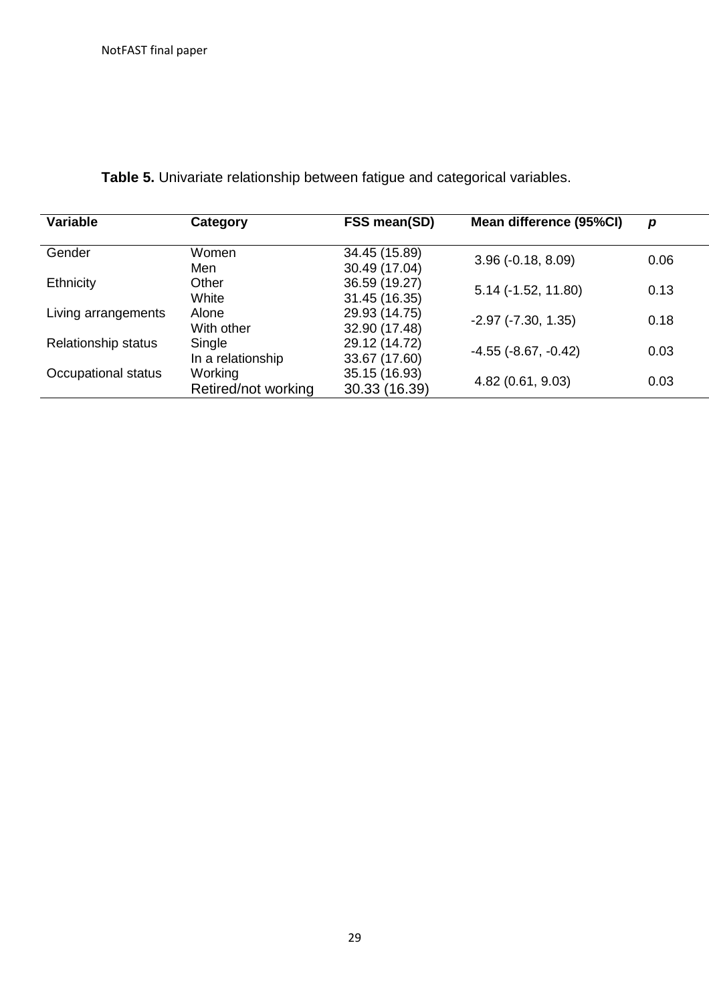| Variable                   | Category            | FSS mean(SD)  | Mean difference (95%CI)       | p    |
|----------------------------|---------------------|---------------|-------------------------------|------|
| Gender                     | Women               | 34.45 (15.89) |                               | 0.06 |
|                            | Men                 | 30.49 (17.04) | $3.96(-0.18, 8.09)$           |      |
| Ethnicity                  | Other               | 36.59 (19.27) |                               | 0.13 |
|                            | White               | 31.45 (16.35) | $5.14$ ( $-1.52$ , $11.80$ )  |      |
| Living arrangements        | Alone               | 29.93 (14.75) | $-2.97$ $(-7.30, 1.35)$       | 0.18 |
|                            | With other          | 32.90 (17.48) |                               |      |
| <b>Relationship status</b> | Single              | 29.12 (14.72) | $-4.55$ ( $-8.67$ , $-0.42$ ) | 0.03 |
|                            | In a relationship   | 33.67 (17.60) |                               |      |
| Occupational status        | Working             | 35.15 (16.93) | 4.82 (0.61, 9.03)             | 0.03 |
|                            | Retired/not working | 30.33 (16.39) |                               |      |

**Table 5.** Univariate relationship between fatigue and categorical variables.